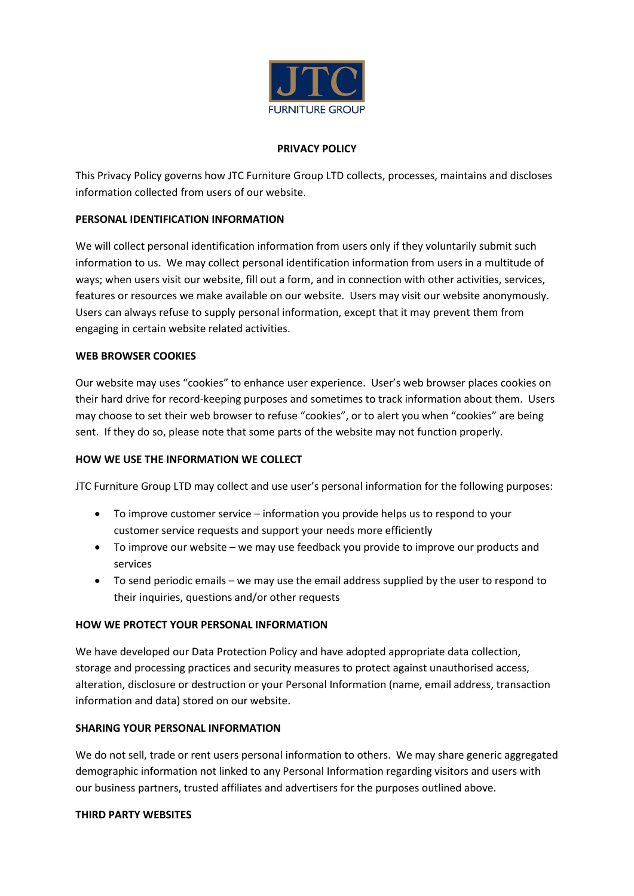

## **PRIVACY POLICY**

This Privacy Policy governs how JTC Furniture Group LTD collects, processes, maintains and discloses information collected from users of our website.

## **PERSONAL IDENTIFICATION INFORMATION**

We will collect personal identification information from users only if they voluntarily submit such information to us. We may collect personal identification information from users in a multitude of ways; when users visit our website, fill out a form, and in connection with other activities, services, features or resources we make available on our website. Users may visit our website anonymously. Users can always refuse to supply personal information, except that it may prevent them from engaging in certain website related activities.

#### **WEB BROWSER COOKIES**

Our website may uses "cookies" to enhance user experience. User's web browser places cookies on their hard drive for record-keeping purposes and sometimes to track information about them. Users may choose to set their web browser to refuse "cookies", or to alert you when "cookies" are being sent. If they do so, please note that some parts of the website may not function properly.

#### **HOW WE USE THE INFORMATION WE COLLECT**

JTC Furniture Group LTD may collect and use user's personal information for the following purposes:

- To improve customer service information you provide helps us to respond to your customer service requests and support your needs more efficiently
- To improve our website we may use feedback you provide to improve our products and services
- To send periodic emails we may use the email address supplied by the user to respond to their inquiries, questions and/or other requests

#### **HOW WE PROTECT YOUR PERSONAL INFORMATION**

We have developed our Data Protection Policy and have adopted appropriate data collection, storage and processing practices and security measures to protect against unauthorised access, alteration, disclosure or destruction or your Personal Information (name, email address, transaction information and data) stored on our website.

#### **SHARING YOUR PERSONAL INFORMATION**

We do not sell, trade or rent users personal information to others. We may share generic aggregated demographic information not linked to any Personal Information regarding visitors and users with our business partners, trusted affiliates and advertisers for the purposes outlined above.

#### **THIRD PARTY WEBSITES**